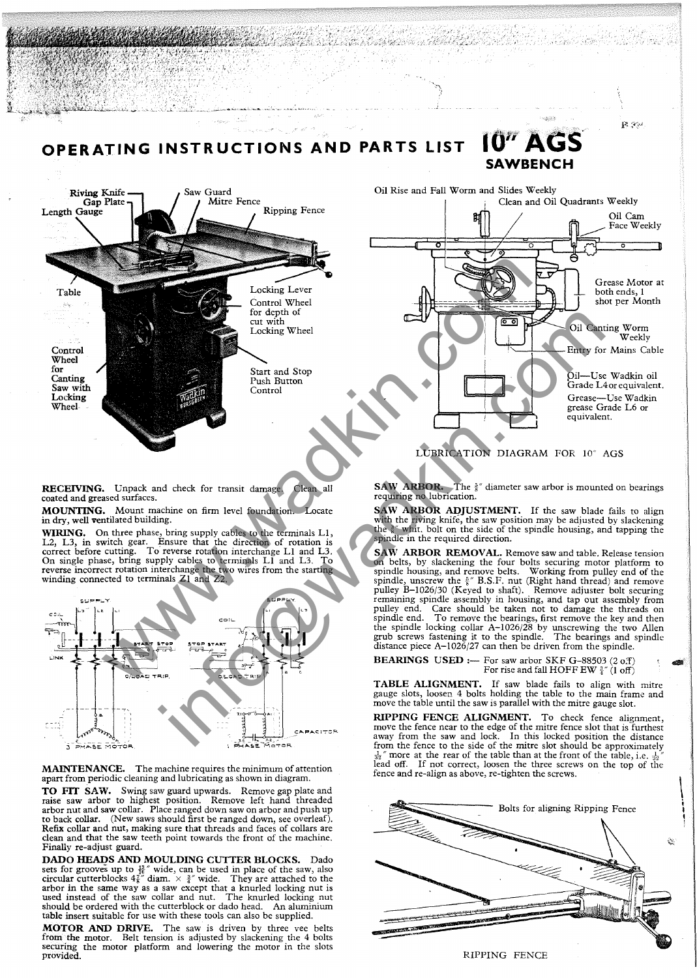

VIII SAN TELEVISION SERIES SUR LEGISLATION SUR LEGISLATION SUR LEGISLATION SUR LEGISLATION SUR LEGISLATION SUR<br>SUR LEGISLATION SUR LEGISLATION SUR LEGISLATION SUR LEGISLATION SUR LEGISLATION SUR LEGISLATION SUR LEGISLATIO

MOUNTING. Mount machine on firm level foundation. Locate in dry, well ventilated building.

 $4.4.46$ 

MARKARA A

alia.

WIRING. On three phase, bring supply cables to the terminals Ll, L2, L3, in switch gear. Ensure that the direction of rotation is correct before cutting. To reverse rotation interchange Ll and L3. On single phase, bring supply cables to terminals Ll and L3. To reverse incorrect rotation interchange the two wires from the starting winding connected to terminals Zl and Z2.



MAINTENANCE. The machine requires the minimum of attention apart from periodic cleaning and lubricating as shown in diagram.

TO FIT SAW. Swing saw guard upwards. Remove gap plate and raise saw arbor to highest position. Remove left hand threaded arbor nut and saw collar. Place ranged down saw on arbor and push up to back collar. (New saws should first be ranged down, see overleaf). Refix collar and nut, making sure that threads and faces of collars are clean and that the saw teeth point towards the front of the machine. Finally re-adjust guard.

DADO HEADS AND MOULDING CUTTER BLOCKS. Dado sets for grooves up to  $\frac{12}{16}$  wide, can be used in place of the saw, also circular cutterblocks  $4\frac{7}{8}\pi$  diam.  $\times$   $\frac{3}{4}\pi$  wide. They are attached to the arbor in the same way as a saw except that a knurled locking nut is used instead of the saw collar and nut. The knurled locking nut should be ordered with the cutterblock or dado head. An aluminium table insert suitable for use with these tools can also be supplied.

MOTOR AND DRIVE. The saw is driven by three vee belts from the motor. Belt tension is adjusted by slackening the 4 bolts securing the motor platform and lowering the motor in the slots provided.

with the riving knife, the saw position may be adjusted by slackening the  $\ell^{\infty}$  whit. bolt on the side of the spindle housing, and tapping the spindle in the required direction. SAW ARBOR REMOVAL. Remove saw and table. Release tension on belts, by slackening the four bolts securing motor platform to spindle housing, and remove belts. Working from pulley end of the spindle, unscrew the  $\frac{5}{6}$ " B.S.F. nut (Right hand thread) and remove pulley B-I026/30 (Keyed to shaft). Remove adjuster bolt securing remaining spindle assembly in housing, and tap out assembly from pulley end. Care should be taken not to damage the threads on

SAW ARBOR ADJUSTMENT. If the saw blade fails to align

TA MATTI KU SHAKARA NA MARA WA 1972.<br>TA WA SIMBA MWAKA WA 1982 YA KUNA WA

spindle end. To remove the bearings, first remove the key and then the spindle locking collar A-I026/28 by unscrewing the two AlIen grub screws fastening it to the spindle. The bearings and spindle distance piece A-I026/27 can then be driven from the spindle.

**BEARINGS USED :**- For saw arbor SKF G-88503  $(2 o.f)$ For rise and fall HOFF EW  $\frac{3}{4}$ " (1 off)

TABLE ALIGNMENT. If saw blade fails to align with mitre gauge slots, loosen 4 bolts holding the table to the main frame and move the table until the saw is parallel with the mitre gauge slot.

RIPPING FENCE ALIGNMENT. To check fence alignment, move the fence near to the edge of the mitre fence slot that is furthest away from the saw and lock. In this locked position the distance from the fence to the side of the mitre slot should be approximately  $\frac{1}{32}$ " more at the rear of the table than at the front of the table, i.e.  $\frac{1}{32}$ " lead off. If not correct, loosen the three screws on the top of the fence and re-align as above, re-tighten the screws.

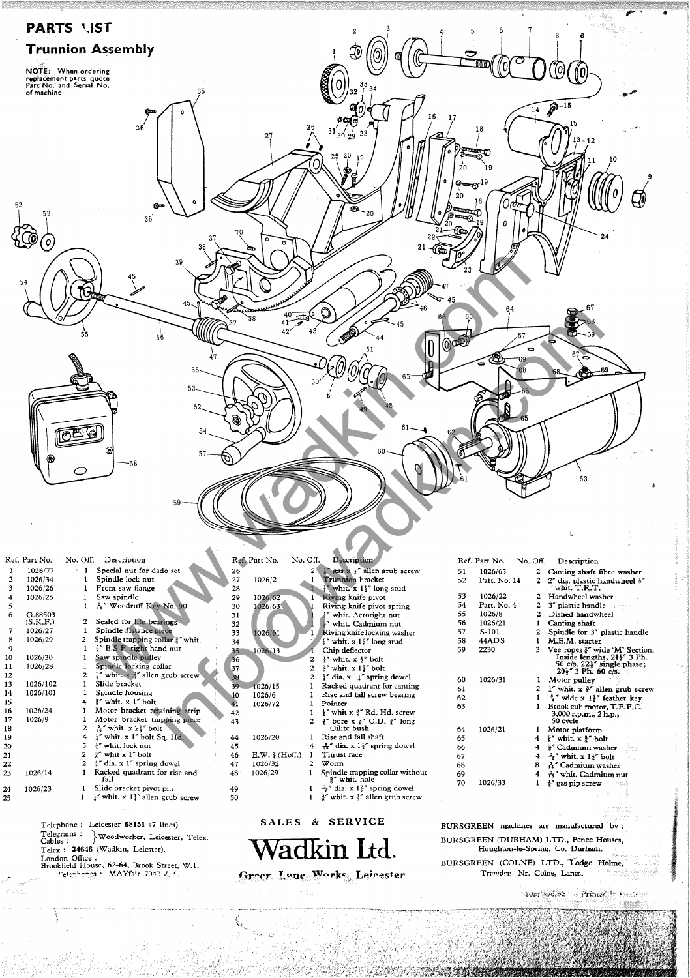

|    | Ref. Part No. | No. Off.     | Description                                                |     | Ref. Part No.      | No |
|----|---------------|--------------|------------------------------------------------------------|-----|--------------------|----|
| 1  | 1026/77       | 1            | Special nut for dado set                                   | 26  |                    |    |
| 2  | 1026/34       | 1            | Spindle lock nut                                           | 27  | 1026/2             |    |
| 3  | 1026/26       | 1            | Front saw flange                                           | 28  |                    |    |
| 4  | 1026/25       |              | Saw spindle                                                | 29  | 1026/62            |    |
| 5  |               | 1            | ሌ" Woodruff Key No. 90                                     | 30  | 1026/63            |    |
| 6  | G.88503       |              |                                                            | 31  |                    |    |
|    | (S.K.F.)      | $\mathbf{2}$ | Sealed for life bearings                                   | 32  |                    |    |
| 7  | 1026/27       |              | Spindle distance piece                                     | 33  | 1026/61            |    |
| 8  | 1026/29       | 2            | Spindle trapping collar 3" whit.                           | 34  |                    |    |
| 9  |               | 1            | §" B.S.F. right hand nut                                   | 35  | 1026/13            |    |
| 10 | 1026/30       |              | Saw spindle pulley                                         | 36  |                    |    |
| 11 | 1026/28       | 1            | Spindle locking collar                                     | 37  |                    |    |
| 12 |               | 2            | $\frac{1}{4}$ " whit. x $\frac{1}{4}$ " allen grub screw   | 38  |                    |    |
| 13 | 1026/102      |              | Slide bracket                                              | 39. | 1026/15            |    |
| 14 | 1026/101      | ı            | Spindle housing                                            | 40  | 1026/6             |    |
| 15 |               | 4            | 3" whit. x 1" bolt                                         | 41  | 1026/72            |    |
| 16 | 1026/24       | 1            | Motor bracket retaining strip                              | 42  |                    |    |
| 17 | 1026/9        | ı            | Motor bracket trapping piece                               | 43  |                    |    |
| 18 |               | 2            | $\frac{1}{10}$ " whit. x 2 $\frac{1}{4}$ " bolt            |     |                    |    |
| 19 |               | 4            | $\frac{1}{4}$ " whit. x 1" bolt Sq. Hd.                    | 44  | 1026/20            |    |
| 20 |               | 5            | I" whit. lock nut                                          | 45  |                    |    |
| 21 |               | $\mathbf{z}$ | <sup>3</sup> whit x 1" bolt                                | 46  | $E.W.$ $\{Hoff.\}$ |    |
| 22 |               | $\mathbf{z}$ | $\frac{1}{4}$ " dia. x 1" spring dowel                     | 47  | 1026/32            |    |
| 23 | 1026/14       | 1            | Racked quadrant for rise and<br>fall                       | 48  | 1026/29            |    |
| 24 | 1026/23       | 1            | Slide bracket pivot pin                                    | 49  |                    |    |
| 25 |               | 1            | $\frac{1}{2}$ " whit. x 1 $\frac{1}{4}$ " allen grub screw | 50  |                    |    |
|    |               |              |                                                            |     |                    |    |

Telephone: Leicester 68151 (7 lines) ~~~l~~a~s: **} Woodworker, Leicester, Telex.**  Telex: 34646 (Wadkin, Leicster). London Office :<br>
Brookfield House, 62-64, Brook Street, W.1.  $T$ elembones : MAYfair 7043 & C.

**Ref. Part** ~o. No. Off. 2 <sup>1</sup> gas x <sup>1</sup> allen grub screw<br>
1 **Trunnion bracket**<br>
1 <sup>1</sup> whit. x 1<sup>1</sup> long stud<br>
1 Riving knife pivot **Description**  1026/2 026/62 026/63 1026/61 1026/13 *1026/15*   $026/6$ 1026/72 1026120 1 2  $\overline{2}$ 2 2 1 **Riving knife pivot spring**  $+''$  whit. Aerotight nut  $+''$  whit. Cadmium nut **r' whit. x 1 r" long stud**  Chip deflector **Pointer**  Rise and fall shaft

Riving knife locking washer  $\frac{1}{i}$ " whit. x  $\frac{1}{i}$ " bolt<br> $\frac{1}{i}$ " whit. x  $1\frac{1}{i}$ " bolt<br> $\frac{1}{i}$ " dia. x  $1\frac{1}{i}$ " spring dowel<br>Racked quadrant for canting Rise and fall screw bearing f" whit x  $\frac{3}{4}$ " Rd. Hd. screw  $\frac{3}{4}$ " bore x  $\frac{7}{8}$ " O.D.  $\frac{3}{4}$ " long Oilite bush  $\frac{1}{16}$ " dia. x 1<sup>1</sup>' spring dowel 4 **Thrust race**  2 Worm Spindle trapping collar without  $\frac{3}{6}$ " whit. hole<br> $\frac{7}{16}$ " dia. x 1 $\frac{3}{6}$ " spring dowel<br> $\frac{3}{6}$ " whit. x  $\frac{3}{6}$ " allen grub screw  $\mathbf{1}$ 

|    | Ref. Part No. | No. Off. |                | Description                                                                                                                                                      |
|----|---------------|----------|----------------|------------------------------------------------------------------------------------------------------------------------------------------------------------------|
| 51 | 1026/65       |          | 2              | Canting shaft fibre washer                                                                                                                                       |
| 52 | Patt. No. 14  |          | $\overline{c}$ | 2" dia. plastic handwheel 1"<br>whit. T.R.T.                                                                                                                     |
| 53 | 1026/22       |          | 2              | Handwheel washer                                                                                                                                                 |
| 54 | Patt. No. 4   |          | $\mathbf{z}$   | 3" plastic handle word                                                                                                                                           |
| 55 | 1026/8        |          | $\mathbf{2}$   | Dished handwheel                                                                                                                                                 |
| 56 | 1025/21       |          | 1              | Canting shaft                                                                                                                                                    |
| 57 | $S-101$       |          | 2              | Spindle for 3" plastic handle                                                                                                                                    |
| 58 | 44ADS         |          | 1              | M.E.M. starter                                                                                                                                                   |
| 59 | 2230          |          | 3              | Vee ropes §" wide 'M' Section.<br>Inside lengths, 21 <sup>1</sup> / <sub>2</sub> 3 Ph.<br>50 c/s. 22 <sup>3</sup> single phase;<br>20 <sup>3</sup> 3 Ph. 60 c/s. |
| 60 | 1026/31       |          | 1              | Motor pulley                                                                                                                                                     |
| 61 |               |          | $\mathbf{2}$   | $\frac{1}{4}$ " whit. x $\frac{3}{4}$ " allen grub screw                                                                                                         |
| 62 |               |          | ı              | $\frac{1}{16}$ " wide x 1}" feather key                                                                                                                          |
| 63 |               |          | 1              | Brook cub motor, T.E.F.C.<br>3,000 r.p.m., 2 h.p.,<br>50 cvcle                                                                                                   |
| 64 | 1026/21       |          | 1              | Motor platform                                                                                                                                                   |
| 65 |               |          | 4              | ቶ" whit. x ቶ" bolt                                                                                                                                               |
| 66 |               |          | 4              | i" Cadmium washer                                                                                                                                                |
| 67 |               |          | 4              | $\pi$ " whit. x $11$ " bolt                                                                                                                                      |
| 68 |               |          | 8              | ਨੇ" Cadmium washer                                                                                                                                               |
| 69 |               |          | 4              | रे " whit. Cadmium nut                                                                                                                                           |
| 70 | 1026/33       |          | 1              | $\frac{1}{4}$ " gas pip screw<br>w.c.n                                                                                                                           |

## **SALES & SERVICE**



BURSGREEN machines are manufactured by: BURSGREEN (DURHAM) LTD., Fence Houses, Houghton-Ie-Spring, Co. Durham. <sup>&</sup>lt;

BURSGREEN (COLNE) LTD., Lodge Holme, Trawden Nr. Colne, Lancs.

Statistics with a low at a substantial

10m/216/62 Prince in the hand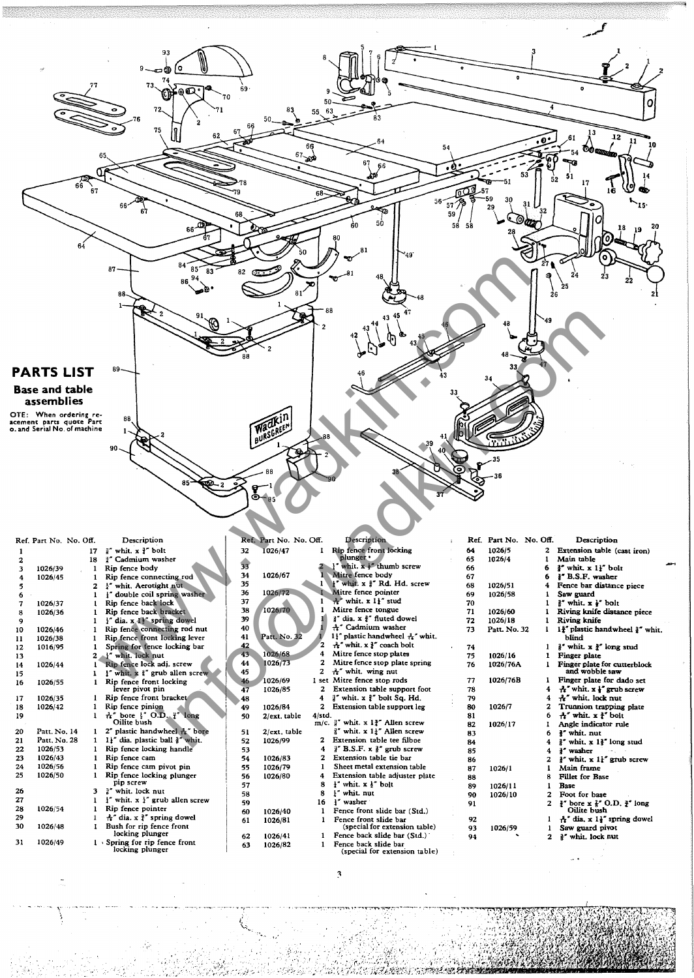

|    | Ref. Part No. No. Off. |                | Description                                          |    | Ref. Part No. No. Off. |        | <b>Description</b>                                      |    | Ref. Part No. No. Off. |              | Description                                                |
|----|------------------------|----------------|------------------------------------------------------|----|------------------------|--------|---------------------------------------------------------|----|------------------------|--------------|------------------------------------------------------------|
|    |                        | 17             | " whit. x ?" bolt                                    | 32 | 1026/47                |        | Rip fence front locking                                 | 64 | 1026/5                 | $\mathbf{2}$ | Extension table (cast iron)                                |
|    |                        | 18             | #" Cadmium washer                                    |    |                        |        | plunger ·                                               | 65 | 1026/4                 |              | Main table                                                 |
| 3  | 1026/39                |                | Rip fence body                                       | 33 |                        |        | whit, $x \neq^n$ thumb screw                            | 66 |                        | 6            | " whit. x 1}" bolt                                         |
| 4  | 1026/45                |                | Rip fence connecting rod                             | 34 | 1026/67                |        | Mitre fence body                                        | 67 |                        |              | 1" B.S.F. washer                                           |
|    |                        | $\overline{z}$ | 1" whit. Aerotight nut                               | 35 |                        |        | whit. x <sup>3</sup> Rd. Hd. screw                      | 68 | 1026/51                | 4            | Fence bar distance piece                                   |
|    |                        |                | double coil spring washer                            | 36 | 1026/72                |        | Mitre fence pointer                                     | 69 | 1026/58                |              | Saw guard                                                  |
|    | 1026/37                |                | Rip fence back lock                                  | 37 |                        |        | A" whit. x 11" stud                                     | 70 |                        |              | $\frac{3}{2}$ whit. $x \frac{1}{2}$ bolt                   |
| 8  | 1026/36                |                | Rip fence back bracket                               | 38 | 1026/70                |        | Mitre fence tongue                                      | 71 | 1026/60                |              | Riving knife distance piece                                |
| 9  |                        |                | i" dia. x 11" spring dowel                           | 39 |                        |        | if dia. x 1" fluted dowel                               | 72 | 1026/18                |              | Riving knife                                               |
| 10 | 1026/46                |                | Rip fence connecting rod nut                         | 40 |                        |        | A" Cadmium washer                                       | 73 | Patt. No. 32           |              | 1 <sup>2</sup> plastic handwheel <sup>3</sup> whit.        |
| 11 | 1026/38                |                | Rip fence front locking lever                        | 41 | Patt. No. 32           |        | 11' plastic handwheel A' whit.                          |    |                        |              | blind                                                      |
| 12 | 1016/95                |                | Spring for fence locking bar                         | 42 |                        |        | 귾" whit. x }" coach bolt                                | 74 |                        |              | <sup>3</sup> whit. x <sup>3</sup> long stud                |
| 13 |                        | 2              | A" whit, lock nut                                    | 43 | 1026/68                | 4      | Mitre fence stop plates                                 | 75 | 1026/16                |              | <b>Finger</b> plate                                        |
| 14 | 1026/44                |                | Rip fence lock adj. screw                            | 44 | 1026/73                | 2      | Mitre fence stop plate spring                           | 76 | 1026/76A               |              | Finger plate for cutterblock                               |
| 15 |                        |                | I" whit, x i" grub allen screw                       | 45 |                        | 2      | $A''$ whit. wing nut                                    |    |                        |              | and wobble saw                                             |
| 16 | 1026/55                |                | Rip fence front locking                              | 46 | 1026/69                | 1 set  | Mitre fence stop rods                                   | 77 | 1026/76B               |              | Finger plate for dado set                                  |
|    |                        |                | lever pivot pin                                      | 47 | 1026/85                |        | Extension table support foot                            | 78 |                        |              | $\frac{1}{16}$ " whit. $x \frac{1}{4}$ " grub screw        |
| 17 | 1026/35                |                | Rip fence front bracket                              | 48 |                        | 4      | 3" whit. x 3" bolt Sq. Hd.                              | 79 |                        |              | 윤" whit. lock nut                                          |
| 18 | 1026/42                |                | Rip fence pinion                                     | 49 | 1026/84                | 2      | Extension table support leg                             | 80 | 1026/7                 |              | Trunnion trapping plate                                    |
| 19 |                        |                | $A''$ hore $\frac{1}{4}$ O.D. $\frac{1}{4}$ long     | 50 | 2/ext. table           | 4/std. |                                                         | 81 |                        | 6            | $A''$ whit. $x \frac{3}{2}$ bolt                           |
|    |                        |                | Oilite bush                                          |    |                        |        | $m/c.$ $\frac{3}{4}$ whit. x 1 <sup>3</sup> Allen screw | 82 | 1026/17                |              | Angle indicator rule                                       |
| 20 | Patt. No. 14           |                | plastic handwheel + bore                             | 51 | 2/ext. table           |        | $\frac{3}{2}$ " whit. x 1 $\frac{1}{2}$ " Allen screw   | 83 |                        |              | <sup>#</sup> whit. nut                                     |
| 21 | Patt. No. 28           |                | II" dia. plastic ball ?" whit.                       | 52 | 1026/99                | 2      | Extension table tee filboe                              | 84 |                        |              | $\frac{3}{2}$ " whit, x 1 $\frac{3}{2}$ " long stud        |
| 22 | 1026/53                |                | Rip fence locking handle                             | 53 |                        | 4      | $\frac{3}{2}$ " B.S.F. x $\frac{3}{2}$ " grub screw     | 85 |                        |              | <sup>3</sup> washer                                        |
| 23 | 1026/43                |                | Rip fence cam                                        | 54 | 1026/83                | 2      | Extension table tie bar                                 | 86 |                        | 2            | $\frac{3}{2}$ whit, x 1 <sup>1</sup> grub screw            |
| 24 | 1026/56                |                | Rip fence cam pivot pin                              | 55 | 1026/79                |        | Sheet metal extension table                             | 87 | 1026/1                 |              | Main frame                                                 |
| 25 | 1026/50                |                | Rip fence locking plunger<br>pip screw               | 56 | 1026/80                | 4      | Extension table adjuster plate                          | 88 |                        |              | <b>Fillet</b> for Base                                     |
| 26 |                        | 3              | 3" whit. lock nut                                    | 57 |                        | 8      | $\frac{1}{2}$ " whit. $x \frac{1}{2}$ " bolt            | 89 | 1026/11                |              | <b>Base</b>                                                |
| 27 |                        |                | $\frac{1}{2}$ whit. x $\frac{1}{2}$ grub allen screw | 58 |                        | 8      | I" whit. nut                                            | 90 | 1026/10                | 2            | Foot for hase                                              |
| 28 | 1026/54                |                | Rip fence pointer                                    | 59 |                        | 16     | I" washer                                               | 91 |                        | $\mathbf{z}$ | $\frac{3}{4}$ bore x $\frac{7}{4}$ O.D. $\frac{3}{4}$ long |
| 29 |                        |                | $\frac{1}{11}$ " dia. x }" spring dowel              | 60 | 1026/40                |        | Fence front slide bar (Std.)                            |    |                        |              | Oilite bush                                                |
| 30 |                        |                |                                                      | 61 | 1026/81                |        | Fence front slide bar                                   | 92 |                        |              | $A'$ dia. x 11" spring dowel                               |
|    | 1026/48                |                | Bush for rip fence front<br>locking plunger          |    |                        |        | (special for extension table)                           | 93 | 1026/59                |              | Saw guard pivot                                            |
| 31 | 1026/49                |                | 1 Spring for rip fence front                         | 62 | 1026/41                |        | Fence back slide bar (Std.)<br>Fence back slide bar     | 94 |                        | 2            | <sup>3"</sup> whit, lock nut                               |
|    |                        |                | locking plunger                                      | 63 | 1026/82                |        | (special for extension table)                           |    |                        |              |                                                            |
|    |                        |                |                                                      |    |                        |        |                                                         |    |                        |              |                                                            |
|    |                        |                |                                                      |    |                        |        |                                                         |    |                        |              |                                                            |

....,"'.,.,....,~ .... -"~'~.";""--""""" ;-"'~- .. ~~

': \_ . .,. -~'-...-. -~-',~ -....... -

 $\overline{\phantom{a}}$ 

" " I:  $\mathcal{L}_{\mathcal{L}_{\mathcal{L}_{\mathcal{L}}}}$ 

" -, .,

)

·';,,/1'':''

iGh.